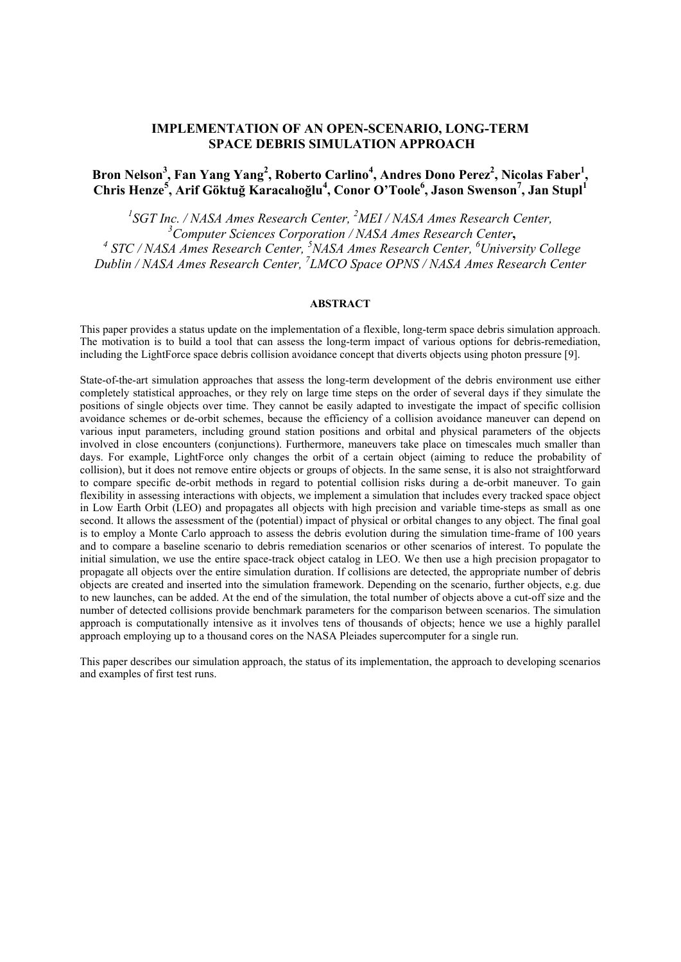# **IMPLEMENTATION OF AN OPEN-SCENARIO, LONG-TERM SPACE DEBRIS SIMULATION APPROACH**

# Bron Nelson<sup>3</sup>, Fan Yang Yang<sup>2</sup>, Roberto Carlino<sup>4</sup>, Andres Dono Perez<sup>2</sup>, Nicolas Faber<sup>1</sup>, **Chris Henze5 , Arif Göktuğ Karacalıoğlu4 , Conor O'Toole<sup>6</sup> , Jason Swenson<sup>7</sup> , Jan Stupl<sup>1</sup>**

<sup>1</sup>SGT Inc. / NASA Ames Research Center, <sup>2</sup>MEI / NASA Ames Research Center, <sup>3</sup>Computer Sciences Corporation / NASA Ames Research Center, *Computer Sciences Corporation / NASA Ames Research Center***,** *<sup>4</sup> STC / NASA Ames Research Center, <sup>5</sup> NASA Ames Research Center, 6 University College Dublin / NASA Ames Research Center, 7 LMCO Space OPNS / NASA Ames Research Center*

## **ABSTRACT**

This paper provides a status update on the implementation of a flexible, long-term space debris simulation approach. The motivation is to build a tool that can assess the long-term impact of various options for debris-remediation, including the LightForce space debris collision avoidance concept that diverts objects using photon pressure [9].

State-of-the-art simulation approaches that assess the long-term development of the debris environment use either completely statistical approaches, or they rely on large time steps on the order of several days if they simulate the positions of single objects over time. They cannot be easily adapted to investigate the impact of specific collision avoidance schemes or de-orbit schemes, because the efficiency of a collision avoidance maneuver can depend on various input parameters, including ground station positions and orbital and physical parameters of the objects involved in close encounters (conjunctions). Furthermore, maneuvers take place on timescales much smaller than days. For example, LightForce only changes the orbit of a certain object (aiming to reduce the probability of collision), but it does not remove entire objects or groups of objects. In the same sense, it is also not straightforward to compare specific de-orbit methods in regard to potential collision risks during a de-orbit maneuver. To gain flexibility in assessing interactions with objects, we implement a simulation that includes every tracked space object in Low Earth Orbit (LEO) and propagates all objects with high precision and variable time-steps as small as one second. It allows the assessment of the (potential) impact of physical or orbital changes to any object. The final goal is to employ a Monte Carlo approach to assess the debris evolution during the simulation time-frame of 100 years and to compare a baseline scenario to debris remediation scenarios or other scenarios of interest. To populate the initial simulation, we use the entire space-track object catalog in LEO. We then use a high precision propagator to propagate all objects over the entire simulation duration. If collisions are detected, the appropriate number of debris objects are created and inserted into the simulation framework. Depending on the scenario, further objects, e.g. due to new launches, can be added. At the end of the simulation, the total number of objects above a cut-off size and the number of detected collisions provide benchmark parameters for the comparison between scenarios. The simulation approach is computationally intensive as it involves tens of thousands of objects; hence we use a highly parallel approach employing up to a thousand cores on the NASA Pleiades supercomputer for a single run.

This paper describes our simulation approach, the status of its implementation, the approach to developing scenarios and examples of first test runs.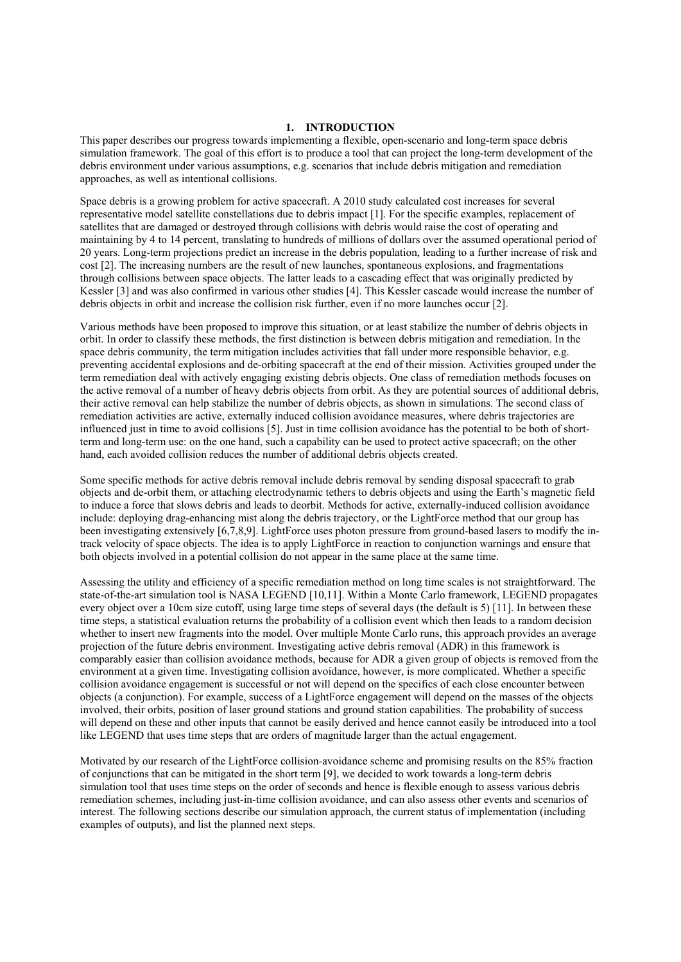#### **1. INTRODUCTION**

This paper describes our progress towards implementing a flexible, open-scenario and long-term space debris simulation framework. The goal of this effort is to produce a tool that can project the long-term development of the debris environment under various assumptions, e.g. scenarios that include debris mitigation and remediation approaches, as well as intentional collisions.

Space debris is a growing problem for active spacecraft. A 2010 study calculated cost increases for several representative model satellite constellations due to debris impact [1]. For the specific examples, replacement of satellites that are damaged or destroyed through collisions with debris would raise the cost of operating and maintaining by 4 to 14 percent, translating to hundreds of millions of dollars over the assumed operational period of 20 years. Long-term projections predict an increase in the debris population, leading to a further increase of risk and cost [2]. The increasing numbers are the result of new launches, spontaneous explosions, and fragmentations through collisions between space objects. The latter leads to a cascading effect that was originally predicted by Kessler [3] and was also confirmed in various other studies [4]. This Kessler cascade would increase the number of debris objects in orbit and increase the collision risk further, even if no more launches occur [2].

Various methods have been proposed to improve this situation, or at least stabilize the number of debris objects in orbit. In order to classify these methods, the first distinction is between debris mitigation and remediation. In the space debris community, the term mitigation includes activities that fall under more responsible behavior, e.g. preventing accidental explosions and de-orbiting spacecraft at the end of their mission. Activities grouped under the term remediation deal with actively engaging existing debris objects. One class of remediation methods focuses on the active removal of a number of heavy debris objects from orbit. As they are potential sources of additional debris, their active removal can help stabilize the number of debris objects, as shown in simulations. The second class of remediation activities are active, externally induced collision avoidance measures, where debris trajectories are influenced just in time to avoid collisions [5]. Just in time collision avoidance has the potential to be both of shortterm and long-term use: on the one hand, such a capability can be used to protect active spacecraft; on the other hand, each avoided collision reduces the number of additional debris objects created.

Some specific methods for active debris removal include debris removal by sending disposal spacecraft to grab objects and de-orbit them, or attaching electrodynamic tethers to debris objects and using the Earth's magnetic field to induce a force that slows debris and leads to deorbit. Methods for active, externally-induced collision avoidance include: deploying drag-enhancing mist along the debris trajectory, or the LightForce method that our group has been investigating extensively [6,7,8,9]. LightForce uses photon pressure from ground-based lasers to modify the intrack velocity of space objects. The idea is to apply LightForce in reaction to conjunction warnings and ensure that both objects involved in a potential collision do not appear in the same place at the same time.

Assessing the utility and efficiency of a specific remediation method on long time scales is not straightforward. The state-of-the-art simulation tool is NASA LEGEND [10,11]. Within a Monte Carlo framework, LEGEND propagates every object over a 10cm size cutoff, using large time steps of several days (the default is 5) [11]. In between these time steps, a statistical evaluation returns the probability of a collision event which then leads to a random decision whether to insert new fragments into the model. Over multiple Monte Carlo runs, this approach provides an average projection of the future debris environment. Investigating active debris removal (ADR) in this framework is comparably easier than collision avoidance methods, because for ADR a given group of objects is removed from the environment at a given time. Investigating collision avoidance, however, is more complicated. Whether a specific collision avoidance engagement is successful or not will depend on the specifics of each close encounter between objects (a conjunction). For example, success of a LightForce engagement will depend on the masses of the objects involved, their orbits, position of laser ground stations and ground station capabilities. The probability of success will depend on these and other inputs that cannot be easily derived and hence cannot easily be introduced into a tool like LEGEND that uses time steps that are orders of magnitude larger than the actual engagement.

Motivated by our research of the LightForce collision-avoidance scheme and promising results on the 85% fraction of conjunctions that can be mitigated in the short term [9], we decided to work towards a long-term debris simulation tool that uses time steps on the order of seconds and hence is flexible enough to assess various debris remediation schemes, including just-in-time collision avoidance, and can also assess other events and scenarios of interest. The following sections describe our simulation approach, the current status of implementation (including examples of outputs), and list the planned next steps.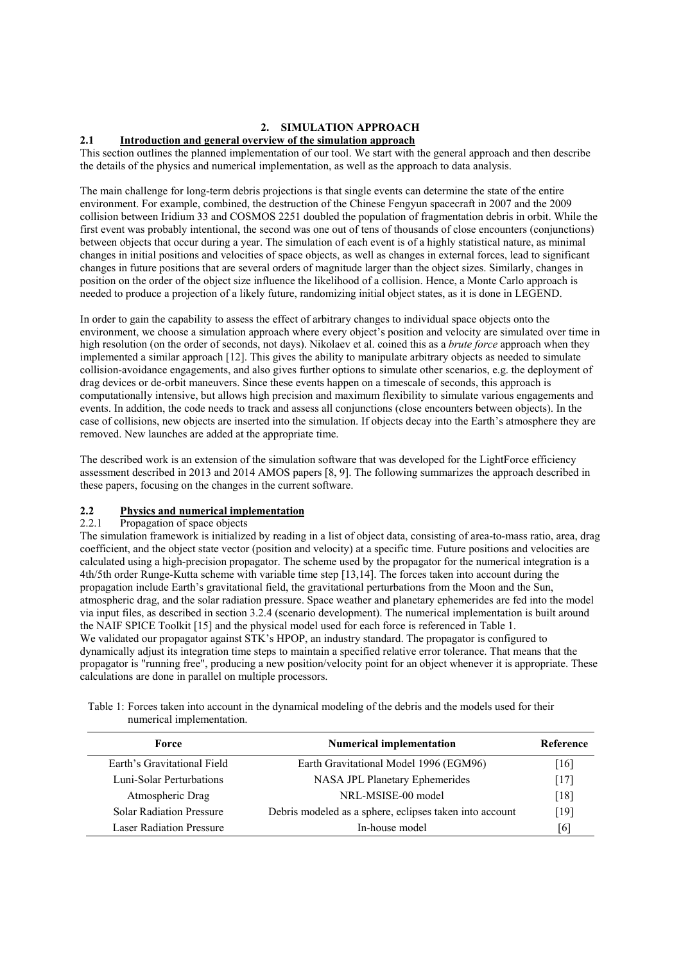## **2. SIMULATION APPROACH**

## **2.1 Introduction and general overview of the simulation approach**

This section outlines the planned implementation of our tool. We start with the general approach and then describe the details of the physics and numerical implementation, as well as the approach to data analysis.

The main challenge for long-term debris projections is that single events can determine the state of the entire environment. For example, combined, the destruction of the Chinese Fengyun spacecraft in 2007 and the 2009 collision between Iridium 33 and COSMOS 2251 doubled the population of fragmentation debris in orbit. While the first event was probably intentional, the second was one out of tens of thousands of close encounters (conjunctions) between objects that occur during a year. The simulation of each event is of a highly statistical nature, as minimal changes in initial positions and velocities of space objects, as well as changes in external forces, lead to significant changes in future positions that are several orders of magnitude larger than the object sizes. Similarly, changes in position on the order of the object size influence the likelihood of a collision. Hence, a Monte Carlo approach is needed to produce a projection of a likely future, randomizing initial object states, as it is done in LEGEND.

In order to gain the capability to assess the effect of arbitrary changes to individual space objects onto the environment, we choose a simulation approach where every object's position and velocity are simulated over time in high resolution (on the order of seconds, not days). Nikolaev et al. coined this as a *brute force* approach when they implemented a similar approach [12]. This gives the ability to manipulate arbitrary objects as needed to simulate collision-avoidance engagements, and also gives further options to simulate other scenarios, e.g. the deployment of drag devices or de-orbit maneuvers. Since these events happen on a timescale of seconds, this approach is computationally intensive, but allows high precision and maximum flexibility to simulate various engagements and events. In addition, the code needs to track and assess all conjunctions (close encounters between objects). In the case of collisions, new objects are inserted into the simulation. If objects decay into the Earth's atmosphere they are removed. New launches are added at the appropriate time.

The described work is an extension of the simulation software that was developed for the LightForce efficiency assessment described in 2013 and 2014 AMOS papers [8, 9]. The following summarizes the approach described in these papers, focusing on the changes in the current software.

# **2.2 Physics and numerical implementation**

## Propagation of space objects

The simulation framework is initialized by reading in a list of object data, consisting of area-to-mass ratio, area, drag coefficient, and the object state vector (position and velocity) at a specific time. Future positions and velocities are calculated using a high-precision propagator. The scheme used by the propagator for the numerical integration is a 4th/5th order Runge-Kutta scheme with variable time step [13,14]. The forces taken into account during the propagation include Earth's gravitational field, the gravitational perturbations from the Moon and the Sun, atmospheric drag, and the solar radiation pressure. Space weather and planetary ephemerides are fed into the model via input files, as described in section 3.2.4 (scenario development). The numerical implementation is built around the NAIF SPICE Toolkit [15] and the physical model used for each force is referenced in Table 1. We validated our propagator against STK's HPOP, an industry standard. The propagator is configured to dynamically adjust its integration time steps to maintain a specified relative error tolerance. That means that the propagator is "running free", producing a new position/velocity point for an object whenever it is appropriate. These calculations are done in parallel on multiple processors.

| Force                           | <b>Numerical implementation</b>                         | Reference          |
|---------------------------------|---------------------------------------------------------|--------------------|
| Earth's Gravitational Field     | Earth Gravitational Model 1996 (EGM96)                  | $[16]$             |
| Luni-Solar Perturbations        | NASA JPL Planetary Ephemerides                          | 17                 |
| Atmospheric Drag                | NRL-MSISE-00 model                                      | $\lceil 18 \rceil$ |
| <b>Solar Radiation Pressure</b> | Debris modeled as a sphere, eclipses taken into account | [19]               |
| <b>Laser Radiation Pressure</b> | In-house model                                          | 6                  |

Table 1: Forces taken into account in the dynamical modeling of the debris and the models used for their numerical implementation.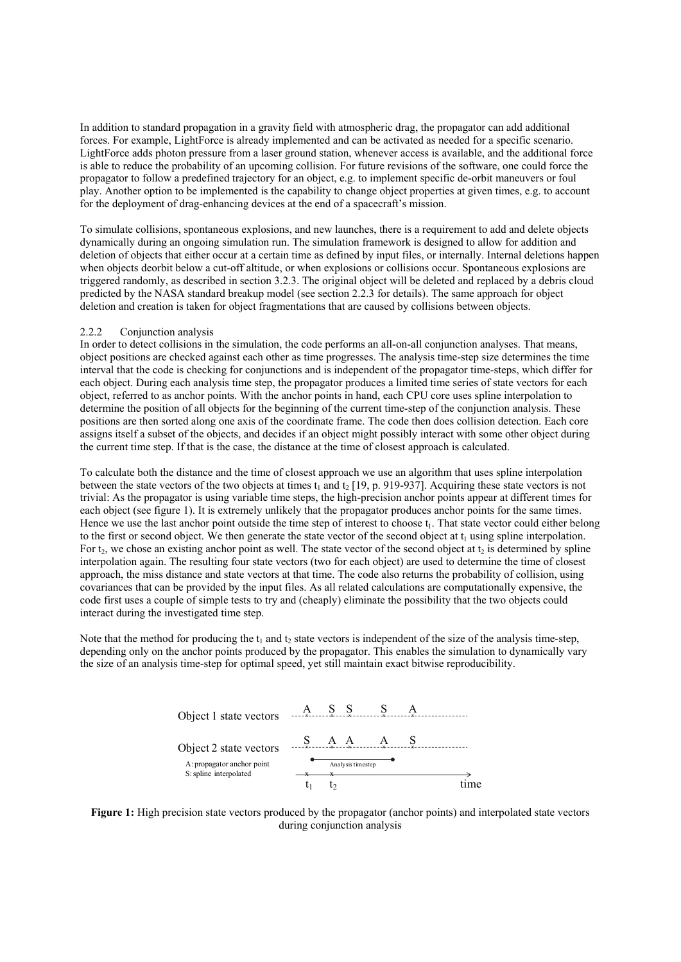In addition to standard propagation in a gravity field with atmospheric drag, the propagator can add additional forces. For example, LightForce is already implemented and can be activated as needed for a specific scenario. LightForce adds photon pressure from a laser ground station, whenever access is available, and the additional force is able to reduce the probability of an upcoming collision. For future revisions of the software, one could force the propagator to follow a predefined trajectory for an object, e.g. to implement specific de-orbit maneuvers or foul play. Another option to be implemented is the capability to change object properties at given times, e.g. to account for the deployment of drag-enhancing devices at the end of a spacecraft's mission.

To simulate collisions, spontaneous explosions, and new launches, there is a requirement to add and delete objects dynamically during an ongoing simulation run. The simulation framework is designed to allow for addition and deletion of objects that either occur at a certain time as defined by input files, or internally. Internal deletions happen when objects deorbit below a cut-off altitude, or when explosions or collisions occur. Spontaneous explosions are triggered randomly, as described in section 3.2.3. The original object will be deleted and replaced by a debris cloud predicted by the NASA standard breakup model (see section 2.2.3 for details). The same approach for object deletion and creation is taken for object fragmentations that are caused by collisions between objects.

#### 2.2.2 Conjunction analysis

In order to detect collisions in the simulation, the code performs an all-on-all conjunction analyses. That means, object positions are checked against each other as time progresses. The analysis time-step size determines the time interval that the code is checking for conjunctions and is independent of the propagator time-steps, which differ for each object. During each analysis time step, the propagator produces a limited time series of state vectors for each object, referred to as anchor points. With the anchor points in hand, each CPU core uses spline interpolation to determine the position of all objects for the beginning of the current time-step of the conjunction analysis. These positions are then sorted along one axis of the coordinate frame. The code then does collision detection. Each core assigns itself a subset of the objects, and decides if an object might possibly interact with some other object during the current time step. If that is the case, the distance at the time of closest approach is calculated.

To calculate both the distance and the time of closest approach we use an algorithm that uses spline interpolation between the state vectors of the two objects at times  $t_1$  and  $t_2$  [19, p. 919-937]. Acquiring these state vectors is not trivial: As the propagator is using variable time steps, the high-precision anchor points appear at different times for each object (see figure 1). It is extremely unlikely that the propagator produces anchor points for the same times. Hence we use the last anchor point outside the time step of interest to choose  $t<sub>1</sub>$ . That state vector could either belong to the first or second object. We then generate the state vector of the second object at  $t_1$  using spline interpolation. For t<sub>2</sub>, we chose an existing anchor point as well. The state vector of the second object at t<sub>2</sub> is determined by spline interpolation again. The resulting four state vectors (two for each object) are used to determine the time of closest approach, the miss distance and state vectors at that time. The code also returns the probability of collision, using covariances that can be provided by the input files. As all related calculations are computationally expensive, the code first uses a couple of simple tests to try and (cheaply) eliminate the possibility that the two objects could interact during the investigated time step.

Note that the method for producing the  $t_1$  and  $t_2$  state vectors is independent of the size of the analysis time-step, depending only on the anchor points produced by the propagator. This enables the simulation to dynamically vary the size of an analysis time-step for optimal speed, yet still maintain exact bitwise reproducibility.



**Figure 1:** High precision state vectors produced by the propagator (anchor points) and interpolated state vectors during conjunction analysis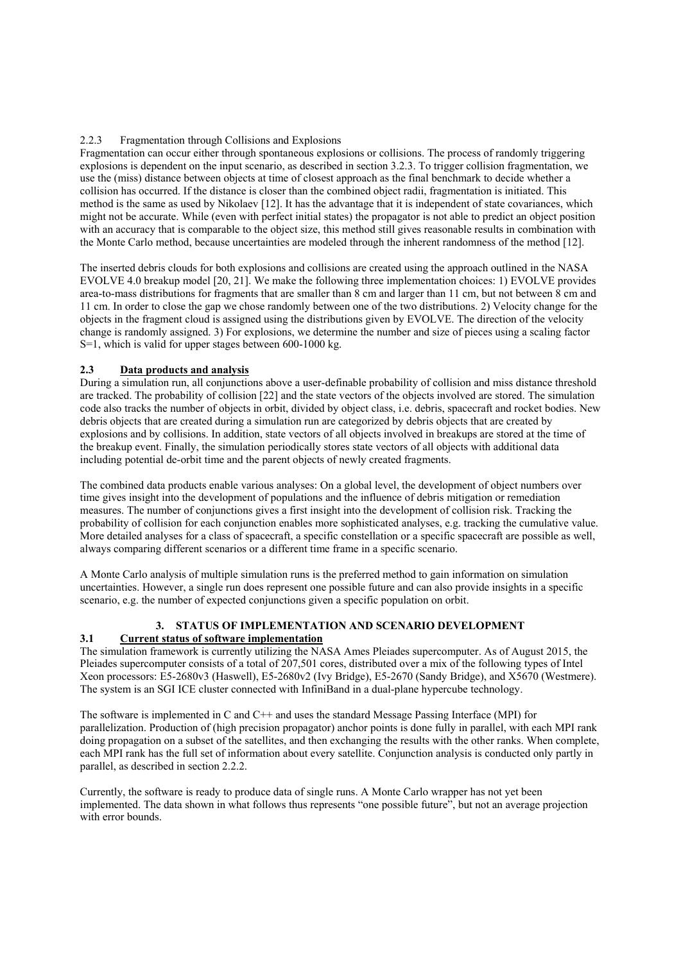## 2.2.3 Fragmentation through Collisions and Explosions

Fragmentation can occur either through spontaneous explosions or collisions. The process of randomly triggering explosions is dependent on the input scenario, as described in section 3.2.3. To trigger collision fragmentation, we use the (miss) distance between objects at time of closest approach as the final benchmark to decide whether a collision has occurred. If the distance is closer than the combined object radii, fragmentation is initiated. This method is the same as used by Nikolaev [12]. It has the advantage that it is independent of state covariances, which might not be accurate. While (even with perfect initial states) the propagator is not able to predict an object position with an accuracy that is comparable to the object size, this method still gives reasonable results in combination with the Monte Carlo method, because uncertainties are modeled through the inherent randomness of the method [12].

The inserted debris clouds for both explosions and collisions are created using the approach outlined in the NASA EVOLVE 4.0 breakup model [20, 21]. We make the following three implementation choices: 1) EVOLVE provides area-to-mass distributions for fragments that are smaller than 8 cm and larger than 11 cm, but not between 8 cm and 11 cm. In order to close the gap we chose randomly between one of the two distributions. 2) Velocity change for the objects in the fragment cloud is assigned using the distributions given by EVOLVE. The direction of the velocity change is randomly assigned. 3) For explosions, we determine the number and size of pieces using a scaling factor S=1, which is valid for upper stages between 600-1000 kg.

## **2.3 Data products and analysis**

During a simulation run, all conjunctions above a user-definable probability of collision and miss distance threshold are tracked. The probability of collision [22] and the state vectors of the objects involved are stored. The simulation code also tracks the number of objects in orbit, divided by object class, i.e. debris, spacecraft and rocket bodies. New debris objects that are created during a simulation run are categorized by debris objects that are created by explosions and by collisions. In addition, state vectors of all objects involved in breakups are stored at the time of the breakup event. Finally, the simulation periodically stores state vectors of all objects with additional data including potential de-orbit time and the parent objects of newly created fragments.

The combined data products enable various analyses: On a global level, the development of object numbers over time gives insight into the development of populations and the influence of debris mitigation or remediation measures. The number of conjunctions gives a first insight into the development of collision risk. Tracking the probability of collision for each conjunction enables more sophisticated analyses, e.g. tracking the cumulative value. More detailed analyses for a class of spacecraft, a specific constellation or a specific spacecraft are possible as well, always comparing different scenarios or a different time frame in a specific scenario.

A Monte Carlo analysis of multiple simulation runs is the preferred method to gain information on simulation uncertainties. However, a single run does represent one possible future and can also provide insights in a specific scenario, e.g. the number of expected conjunctions given a specific population on orbit.

# **3. STATUS OF IMPLEMENTATION AND SCENARIO DEVELOPMENT**

## **3.1 Current status of software implementation**

The simulation framework is currently utilizing the NASA Ames Pleiades supercomputer. As of August 2015, the Pleiades supercomputer consists of a total of 207,501 cores, distributed over a mix of the following types of Intel Xeon processors: E5-2680v3 (Haswell), E5-2680v2 (Ivy Bridge), E5-2670 (Sandy Bridge), and X5670 (Westmere). The system is an SGI ICE cluster connected with InfiniBand in a dual-plane hypercube technology.

The software is implemented in C and C++ and uses the standard Message Passing Interface (MPI) for parallelization. Production of (high precision propagator) anchor points is done fully in parallel, with each MPI rank doing propagation on a subset of the satellites, and then exchanging the results with the other ranks. When complete, each MPI rank has the full set of information about every satellite. Conjunction analysis is conducted only partly in parallel, as described in section 2.2.2.

Currently, the software is ready to produce data of single runs. A Monte Carlo wrapper has not yet been implemented. The data shown in what follows thus represents "one possible future", but not an average projection with error bounds.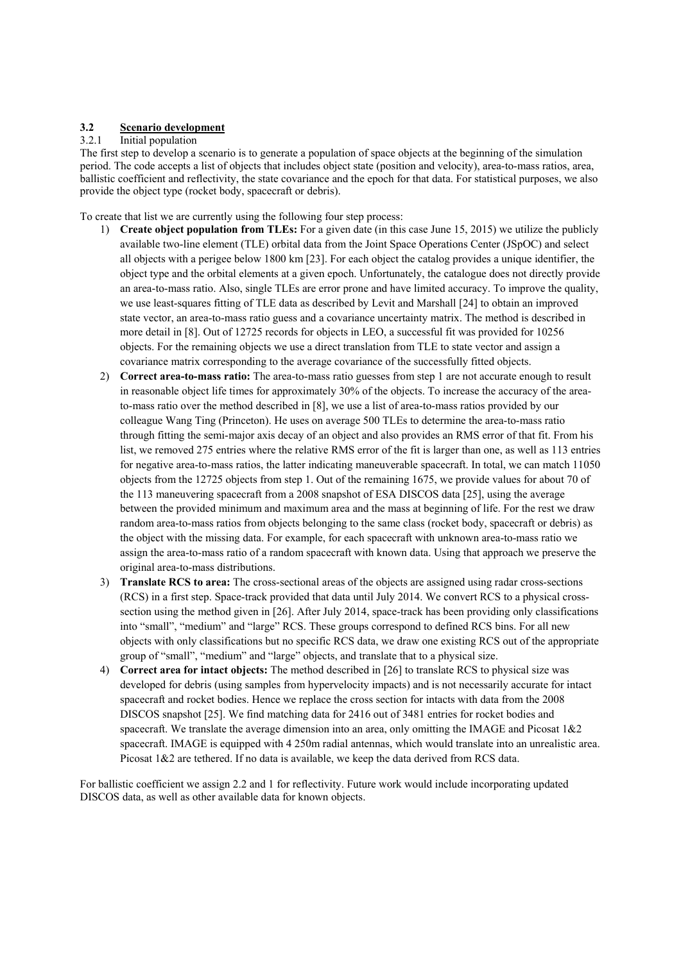# **3.2 Scenario development**

# 3.2.1 Initial population

The first step to develop a scenario is to generate a population of space objects at the beginning of the simulation period. The code accepts a list of objects that includes object state (position and velocity), area-to-mass ratios, area, ballistic coefficient and reflectivity, the state covariance and the epoch for that data. For statistical purposes, we also provide the object type (rocket body, spacecraft or debris).

To create that list we are currently using the following four step process:

- 1) **Create object population from TLEs:** For a given date (in this case June 15, 2015) we utilize the publicly available two-line element (TLE) orbital data from the Joint Space Operations Center (JSpOC) and select all objects with a perigee below 1800 km [23]. For each object the catalog provides a unique identifier, the object type and the orbital elements at a given epoch. Unfortunately, the catalogue does not directly provide an area-to-mass ratio. Also, single TLEs are error prone and have limited accuracy. To improve the quality, we use least-squares fitting of TLE data as described by Levit and Marshall [24] to obtain an improved state vector, an area-to-mass ratio guess and a covariance uncertainty matrix. The method is described in more detail in [8]. Out of 12725 records for objects in LEO, a successful fit was provided for 10256 objects. For the remaining objects we use a direct translation from TLE to state vector and assign a covariance matrix corresponding to the average covariance of the successfully fitted objects.
- 2) **Correct area-to-mass ratio:** The area-to-mass ratio guesses from step 1 are not accurate enough to result in reasonable object life times for approximately 30% of the objects. To increase the accuracy of the areato-mass ratio over the method described in [8], we use a list of area-to-mass ratios provided by our colleague Wang Ting (Princeton). He uses on average 500 TLEs to determine the area-to-mass ratio through fitting the semi-major axis decay of an object and also provides an RMS error of that fit. From his list, we removed 275 entries where the relative RMS error of the fit is larger than one, as well as 113 entries for negative area-to-mass ratios, the latter indicating maneuverable spacecraft. In total, we can match 11050 objects from the 12725 objects from step 1. Out of the remaining 1675, we provide values for about 70 of the 113 maneuvering spacecraft from a 2008 snapshot of ESA DISCOS data [25], using the average between the provided minimum and maximum area and the mass at beginning of life. For the rest we draw random area-to-mass ratios from objects belonging to the same class (rocket body, spacecraft or debris) as the object with the missing data. For example, for each spacecraft with unknown area-to-mass ratio we assign the area-to-mass ratio of a random spacecraft with known data. Using that approach we preserve the original area-to-mass distributions.
- 3) **Translate RCS to area:** The cross-sectional areas of the objects are assigned using radar cross-sections (RCS) in a first step. Space-track provided that data until July 2014. We convert RCS to a physical crosssection using the method given in [26]. After July 2014, space-track has been providing only classifications into "small", "medium" and "large" RCS. These groups correspond to defined RCS bins. For all new objects with only classifications but no specific RCS data, we draw one existing RCS out of the appropriate group of "small", "medium" and "large" objects, and translate that to a physical size.
- 4) **Correct area for intact objects:** The method described in [26] to translate RCS to physical size was developed for debris (using samples from hypervelocity impacts) and is not necessarily accurate for intact spacecraft and rocket bodies. Hence we replace the cross section for intacts with data from the 2008 DISCOS snapshot [25]. We find matching data for 2416 out of 3481 entries for rocket bodies and spacecraft. We translate the average dimension into an area, only omitting the IMAGE and Picosat  $1\&2$ spacecraft. IMAGE is equipped with 4 250m radial antennas, which would translate into an unrealistic area. Picosat 1&2 are tethered. If no data is available, we keep the data derived from RCS data.

For ballistic coefficient we assign 2.2 and 1 for reflectivity. Future work would include incorporating updated DISCOS data, as well as other available data for known objects.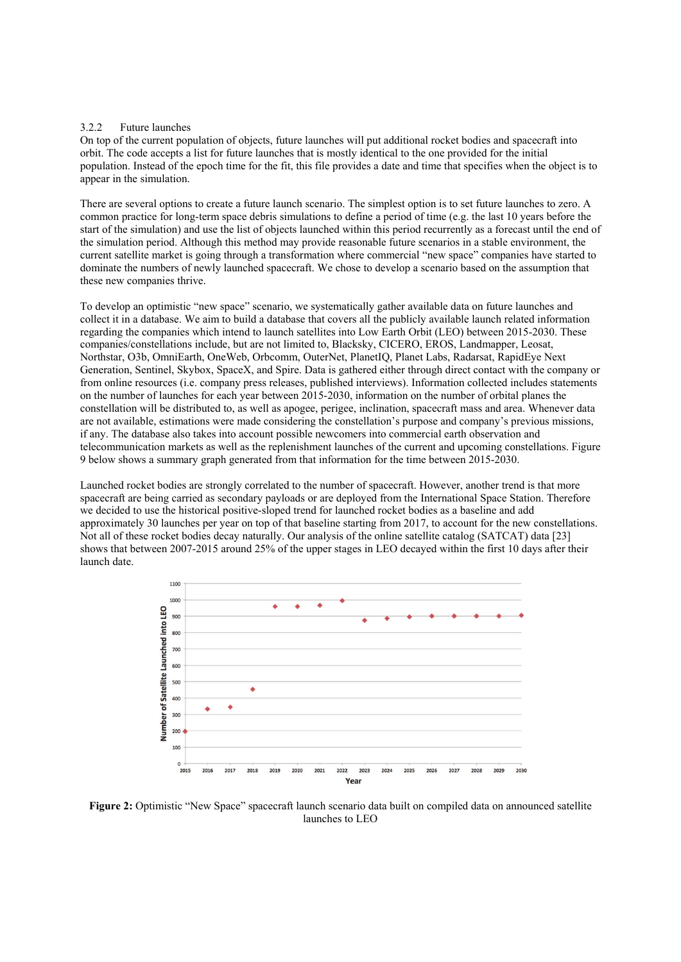#### 3.2.2 Future launches

On top of the current population of objects, future launches will put additional rocket bodies and spacecraft into orbit. The code accepts a list for future launches that is mostly identical to the one provided for the initial population. Instead of the epoch time for the fit, this file provides a date and time that specifies when the object is to appear in the simulation.

There are several options to create a future launch scenario. The simplest option is to set future launches to zero. A common practice for long-term space debris simulations to define a period of time (e.g. the last 10 years before the start of the simulation) and use the list of objects launched within this period recurrently as a forecast until the end of the simulation period. Although this method may provide reasonable future scenarios in a stable environment, the current satellite market is going through a transformation where commercial "new space" companies have started to dominate the numbers of newly launched spacecraft. We chose to develop a scenario based on the assumption that these new companies thrive.

To develop an optimistic "new space" scenario, we systematically gather available data on future launches and collect it in a database. We aim to build a database that covers all the publicly available launch related information regarding the companies which intend to launch satellites into Low Earth Orbit (LEO) between 2015-2030. These companies/constellations include, but are not limited to, Blacksky, CICERO, EROS, Landmapper, Leosat, Northstar, O3b, OmniEarth, OneWeb, Orbcomm, OuterNet, PlanetIQ, Planet Labs, Radarsat, RapidEye Next Generation, Sentinel, Skybox, SpaceX, and Spire. Data is gathered either through direct contact with the company or from online resources (i.e. company press releases, published interviews). Information collected includes statements on the number of launches for each year between 2015-2030, information on the number of orbital planes the constellation will be distributed to, as well as apogee, perigee, inclination, spacecraft mass and area. Whenever data are not available, estimations were made considering the constellation's purpose and company's previous missions, if any. The database also takes into account possible newcomers into commercial earth observation and telecommunication markets as well as the replenishment launches of the current and upcoming constellations. Figure 9 below shows a summary graph generated from that information for the time between 2015-2030.

Launched rocket bodies are strongly correlated to the number of spacecraft. However, another trend is that more spacecraft are being carried as secondary payloads or are deployed from the International Space Station. Therefore we decided to use the historical positive-sloped trend for launched rocket bodies as a baseline and add approximately 30 launches per year on top of that baseline starting from 2017, to account for the new constellations. Not all of these rocket bodies decay naturally. Our analysis of the online satellite catalog (SATCAT) data [23] shows that between 2007-2015 around 25% of the upper stages in LEO decayed within the first 10 days after their launch date.



**Figure 2:** Optimistic "New Space" spacecraft launch scenario data built on compiled data on announced satellite launches to LEO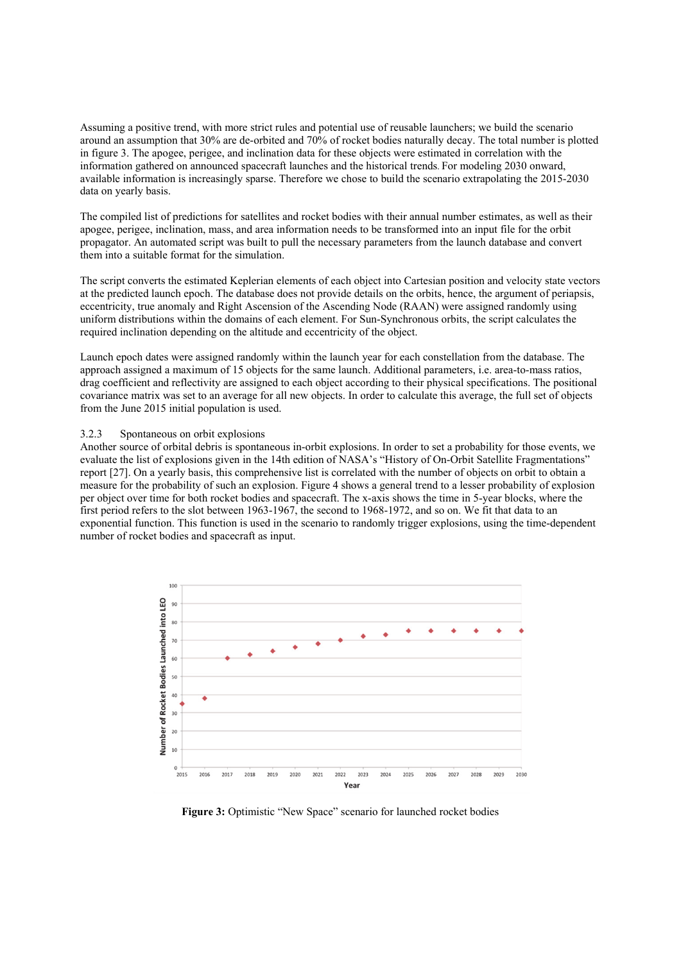Assuming a positive trend, with more strict rules and potential use of reusable launchers; we build the scenario around an assumption that 30% are de-orbited and 70% of rocket bodies naturally decay. The total number is plotted in figure 3. The apogee, perigee, and inclination data for these objects were estimated in correlation with the information gathered on announced spacecraft launches and the historical trends. For modeling 2030 onward, available information is increasingly sparse. Therefore we chose to build the scenario extrapolating the 2015-2030 data on yearly basis.

The compiled list of predictions for satellites and rocket bodies with their annual number estimates, as well as their apogee, perigee, inclination, mass, and area information needs to be transformed into an input file for the orbit propagator. An automated script was built to pull the necessary parameters from the launch database and convert them into a suitable format for the simulation.

The script converts the estimated Keplerian elements of each object into Cartesian position and velocity state vectors at the predicted launch epoch. The database does not provide details on the orbits, hence, the argument of periapsis, eccentricity, true anomaly and Right Ascension of the Ascending Node (RAAN) were assigned randomly using uniform distributions within the domains of each element. For Sun-Synchronous orbits, the script calculates the required inclination depending on the altitude and eccentricity of the object.

Launch epoch dates were assigned randomly within the launch year for each constellation from the database. The approach assigned a maximum of 15 objects for the same launch. Additional parameters, i.e. area-to-mass ratios, drag coefficient and reflectivity are assigned to each object according to their physical specifications. The positional covariance matrix was set to an average for all new objects. In order to calculate this average, the full set of objects from the June 2015 initial population is used.

#### 3.2.3 Spontaneous on orbit explosions

Another source of orbital debris is spontaneous in-orbit explosions. In order to set a probability for those events, we evaluate the list of explosions given in the 14th edition of NASA's "History of On-Orbit Satellite Fragmentations" report [27]. On a yearly basis, this comprehensive list is correlated with the number of objects on orbit to obtain a measure for the probability of such an explosion. Figure 4 shows a general trend to a lesser probability of explosion per object over time for both rocket bodies and spacecraft. The x-axis shows the time in 5-year blocks, where the first period refers to the slot between 1963-1967, the second to 1968-1972, and so on. We fit that data to an exponential function. This function is used in the scenario to randomly trigger explosions, using the time-dependent number of rocket bodies and spacecraft as input.



**Figure 3:** Optimistic "New Space" scenario for launched rocket bodies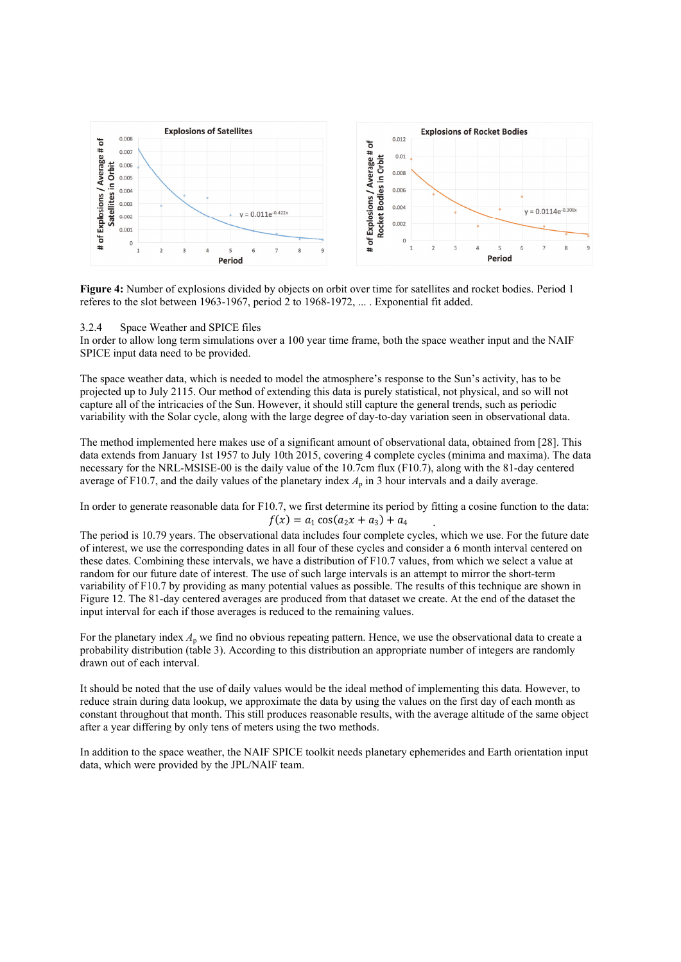

**Figure 4:** Number of explosions divided by objects on orbit over time for satellites and rocket bodies. Period 1 referes to the slot between 1963-1967, period 2 to 1968-1972, ... . Exponential fit added.

#### 3.2.4 Space Weather and SPICE files

In order to allow long term simulations over a 100 year time frame, both the space weather input and the NAIF SPICE input data need to be provided.

The space weather data, which is needed to model the atmosphere's response to the Sun's activity, has to be projected up to July 2115. Our method of extending this data is purely statistical, not physical, and so will not capture all of the intricacies of the Sun. However, it should still capture the general trends, such as periodic variability with the Solar cycle, along with the large degree of day-to-day variation seen in observational data.

The method implemented here makes use of a significant amount of observational data, obtained from [28]. This data extends from January 1st 1957 to July 10th 2015, covering 4 complete cycles (minima and maxima). The data necessary for the NRL-MSISE-00 is the daily value of the 10.7cm flux (F10.7), along with the 81-day centered average of F10.7, and the daily values of the planetary index  $A<sub>p</sub>$  in 3 hour intervals and a daily average.

In order to generate reasonable data for F10.7, we first determine its period by fitting a cosine function to the data:  $f(x) = a_1 \cos(a_2 x + a_3) + a_4$ 

The period is 10.79 years. The observational data includes four complete cycles, which we use. For the future date of interest, we use the corresponding dates in all four of these cycles and consider a 6 month interval centered on these dates. Combining these intervals, we have a distribution of F10.7 values, from which we select a value at random for our future date of interest. The use of such large intervals is an attempt to mirror the short-term variability of F10.7 by providing as many potential values as possible. The results of this technique are shown in Figure 12. The 81-day centered averages are produced from that dataset we create. At the end of the dataset the input interval for each if those averages is reduced to the remaining values.

For the planetary index  $A_p$  we find no obvious repeating pattern. Hence, we use the observational data to create a probability distribution (table 3). According to this distribution an appropriate number of integers are randomly drawn out of each interval.

It should be noted that the use of daily values would be the ideal method of implementing this data. However, to reduce strain during data lookup, we approximate the data by using the values on the first day of each month as constant throughout that month. This still produces reasonable results, with the average altitude of the same object after a year differing by only tens of meters using the two methods.

In addition to the space weather, the NAIF SPICE toolkit needs planetary ephemerides and Earth orientation input data, which were provided by the JPL/NAIF team.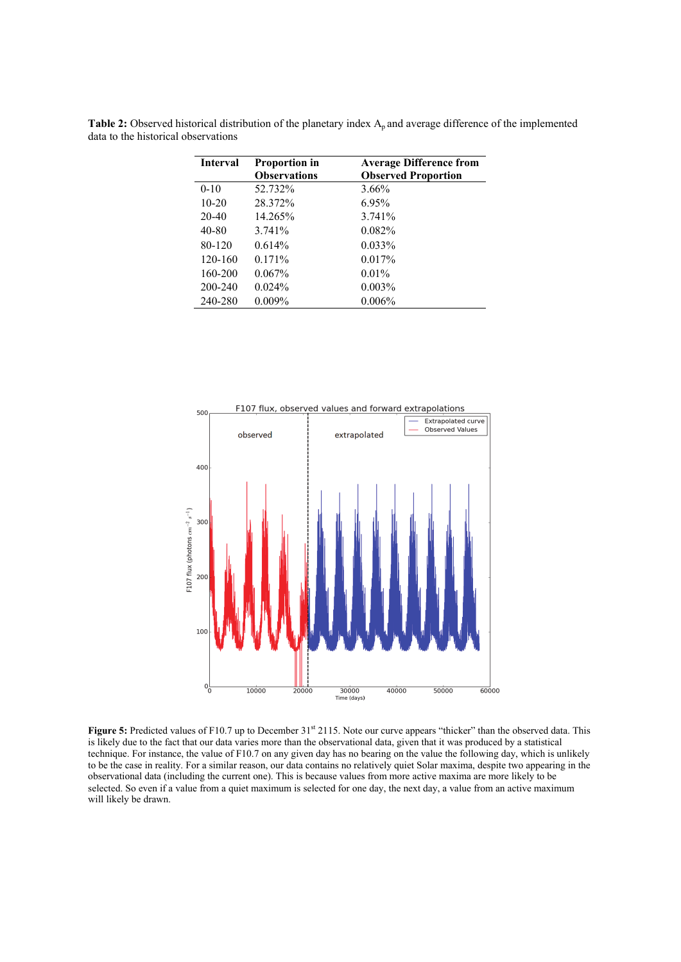| Interval  | <b>Proportion in</b> | <b>Average Difference from</b> |
|-----------|----------------------|--------------------------------|
|           | <b>Observations</b>  | <b>Observed Proportion</b>     |
| $0-10$    | 52.732%              | $3.66\%$                       |
| $10-20$   | 28.372%              | $6.95\%$                       |
| $20 - 40$ | 14.265%              | 3.741%                         |
| 40-80     | 3.741%               | 0.082%                         |
| 80-120    | 0.614%               | $0.033\%$                      |
| 120-160   | $0.171\%$            | $0.017\%$                      |
| 160-200   | $0.067\%$            | $0.01\%$                       |
| 200-240   | 0.024%               | 0.003%                         |
| 240-280   | $0.009\%$            | $0.006\%$                      |

Table 2: Observed historical distribution of the planetary index A<sub>p</sub> and average difference of the implemented data to the historical observations



**Figure 5:** Predicted values of F10.7 up to December 31<sup>st</sup> 2115. Note our curve appears "thicker" than the observed data. This is likely due to the fact that our data varies more than the observational data, given that it was produced by a statistical technique. For instance, the value of F10.7 on any given day has no bearing on the value the following day, which is unlikely to be the case in reality. For a similar reason, our data contains no relatively quiet Solar maxima, despite two appearing in the observational data (including the current one). This is because values from more active maxima are more likely to be selected. So even if a value from a quiet maximum is selected for one day, the next day, a value from an active maximum will likely be drawn.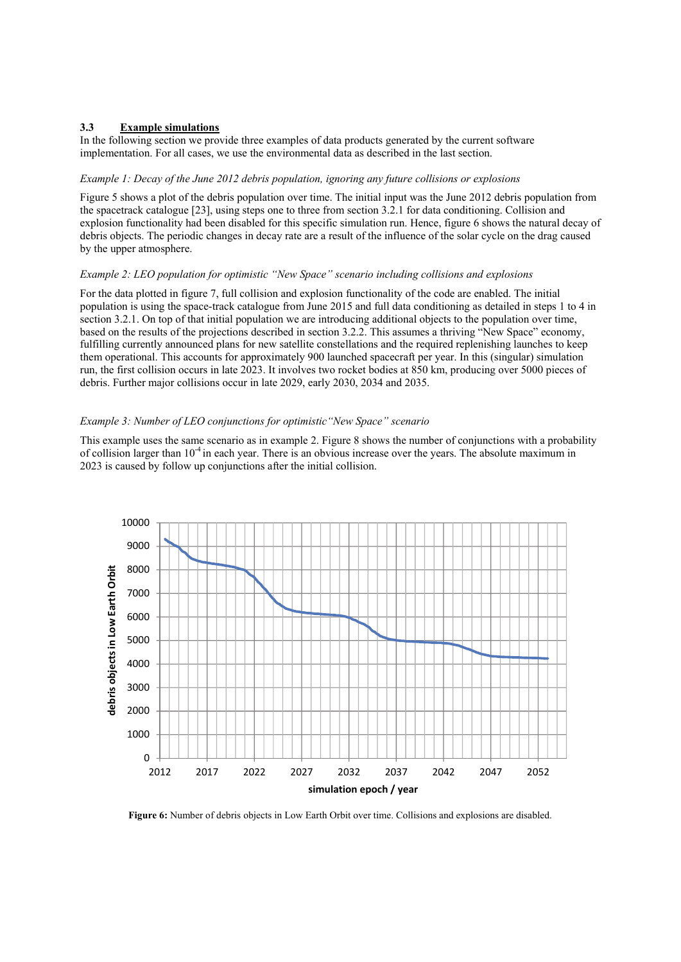# **3.3 Example simulations**

In the following section we provide three examples of data products generated by the current software implementation. For all cases, we use the environmental data as described in the last section.

## *Example 1: Decay of the June 2012 debris population, ignoring any future collisions or explosions*

Figure 5 shows a plot of the debris population over time. The initial input was the June 2012 debris population from the spacetrack catalogue [23], using steps one to three from section 3.2.1 for data conditioning. Collision and explosion functionality had been disabled for this specific simulation run. Hence, figure 6 shows the natural decay of debris objects. The periodic changes in decay rate are a result of the influence of the solar cycle on the drag caused by the upper atmosphere.

# *Example 2: LEO population for optimistic "New Space" scenario including collisions and explosions*

For the data plotted in figure 7, full collision and explosion functionality of the code are enabled. The initial population is using the space-track catalogue from June 2015 and full data conditioning as detailed in steps 1 to 4 in section 3.2.1. On top of that initial population we are introducing additional objects to the population over time, based on the results of the projections described in section 3.2.2. This assumes a thriving "New Space" economy, fulfilling currently announced plans for new satellite constellations and the required replenishing launches to keep them operational. This accounts for approximately 900 launched spacecraft per year. In this (singular) simulation run, the first collision occurs in late 2023. It involves two rocket bodies at 850 km, producing over 5000 pieces of debris. Further major collisions occur in late 2029, early 2030, 2034 and 2035.

## *Example 3: Number of LEO conjunctions for optimistic"New Space" scenario*

This example uses the same scenario as in example 2. Figure 8 shows the number of conjunctions with a probability of collision larger than  $10^{-4}$  in each year. There is an obvious increase over the years. The absolute maximum in 2023 is caused by follow up conjunctions after the initial collision.



**Figure 6:** Number of debris objects in Low Earth Orbit over time. Collisions and explosions are disabled.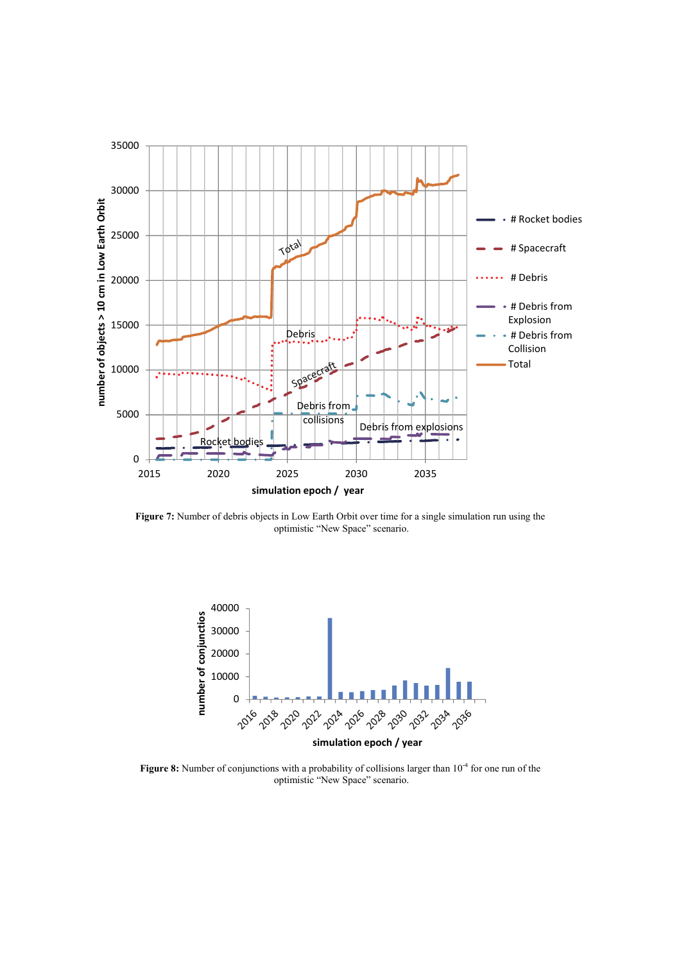

**Figure 7:** Number of debris objects in Low Earth Orbit over time for a single simulation run using the optimistic "New Space" scenario.



Figure 8: Number of conjunctions with a probability of collisions larger than 10<sup>-4</sup> for one run of the optimistic "New Space" scenario.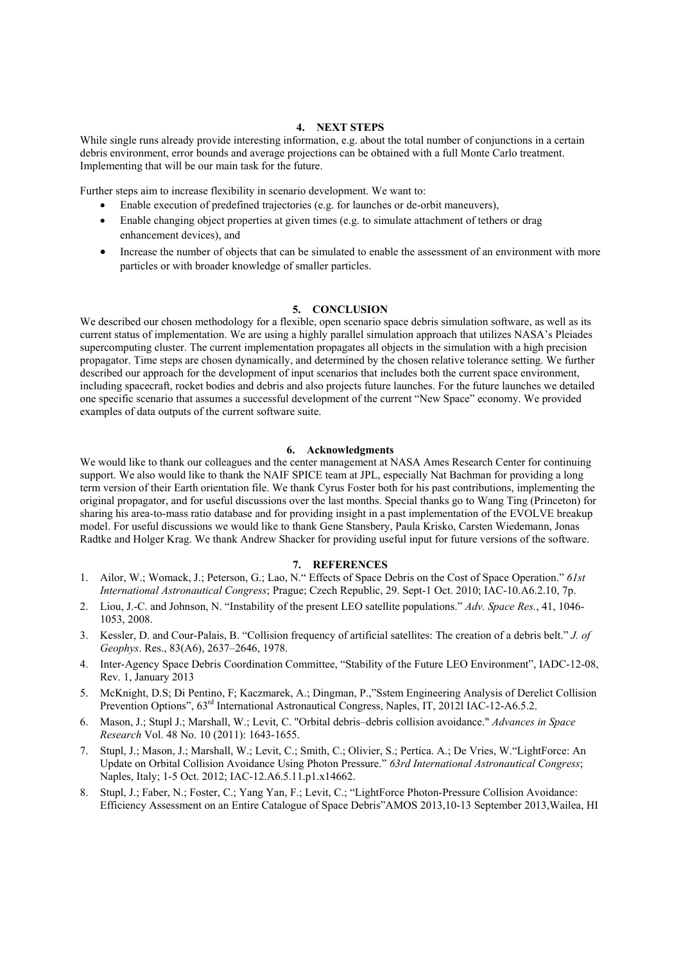#### **4. NEXT STEPS**

While single runs already provide interesting information, e.g. about the total number of conjunctions in a certain debris environment, error bounds and average projections can be obtained with a full Monte Carlo treatment. Implementing that will be our main task for the future.

Further steps aim to increase flexibility in scenario development. We want to:

- Enable execution of predefined trajectories (e.g. for launches or de-orbit maneuvers),
- Enable changing object properties at given times (e.g. to simulate attachment of tethers or drag enhancement devices), and
- Increase the number of objects that can be simulated to enable the assessment of an environment with more particles or with broader knowledge of smaller particles.

## **5. CONCLUSION**

We described our chosen methodology for a flexible, open scenario space debris simulation software, as well as its current status of implementation. We are using a highly parallel simulation approach that utilizes NASA's Pleiades supercomputing cluster. The current implementation propagates all objects in the simulation with a high precision propagator. Time steps are chosen dynamically, and determined by the chosen relative tolerance setting. We further described our approach for the development of input scenarios that includes both the current space environment, including spacecraft, rocket bodies and debris and also projects future launches. For the future launches we detailed one specific scenario that assumes a successful development of the current "New Space" economy. We provided examples of data outputs of the current software suite.

# **6. Acknowledgments**

We would like to thank our colleagues and the center management at NASA Ames Research Center for continuing support. We also would like to thank the NAIF SPICE team at JPL, especially Nat Bachman for providing a long term version of their Earth orientation file. We thank Cyrus Foster both for his past contributions, implementing the original propagator, and for useful discussions over the last months. Special thanks go to Wang Ting (Princeton) for sharing his area-to-mass ratio database and for providing insight in a past implementation of the EVOLVE breakup model. For useful discussions we would like to thank Gene Stansbery, Paula Krisko, Carsten Wiedemann, Jonas Radtke and Holger Krag. We thank Andrew Shacker for providing useful input for future versions of the software.

#### **7. REFERENCES**

- 1. Ailor, W.; Womack, J.; Peterson, G.; Lao, N." Effects of Space Debris on the Cost of Space Operation." *61st International Astronautical Congress*; Prague; Czech Republic, 29. Sept-1 Oct. 2010; IAC-10.A6.2.10, 7p.
- 2. Liou, J.-C. and Johnson, N. "Instability of the present LEO satellite populations." *Adv. Space Res.*, 41, 1046- 1053, 2008.
- 3. Kessler, D. and Cour-Palais, B. "Collision frequency of artificial satellites: The creation of a debris belt." *J. of Geophys*. Res., 83(A6), 2637–2646, 1978.
- 4. Inter-Agency Space Debris Coordination Committee, "Stability of the Future LEO Environment", IADC-12-08, Rev. 1, January 2013
- 5. McKnight, D.S; Di Pentino, F; Kaczmarek, A.; Dingman, P.,"Sstem Engineering Analysis of Derelict Collision Prevention Options",  $63<sup>rd</sup>$  International Astronautical Congress, Naples, IT, 2012l IAC-12-A6.5.2.
- 6. Mason, J.; Stupl J.; Marshall, W.; Levit, C. "Orbital debris–debris collision avoidance." *Advances in Space Research* Vol. 48 No. 10 (2011): 1643-1655.
- 7. Stupl, J.; Mason, J.; Marshall, W.; Levit, C.; Smith, C.; Olivier, S.; Pertica. A.; De Vries, W."LightForce: An Update on Orbital Collision Avoidance Using Photon Pressure." *63rd International Astronautical Congress*; Naples, Italy; 1-5 Oct. 2012; IAC-12.A6.5.11.p1.x14662.
- 8. Stupl, J.; Faber, N.; Foster, C.; Yang Yan, F.; Levit, C.; "LightForce Photon-Pressure Collision Avoidance: Efficiency Assessment on an Entire Catalogue of Space Debris"AMOS 2013,10-13 September 2013,Wailea, HI